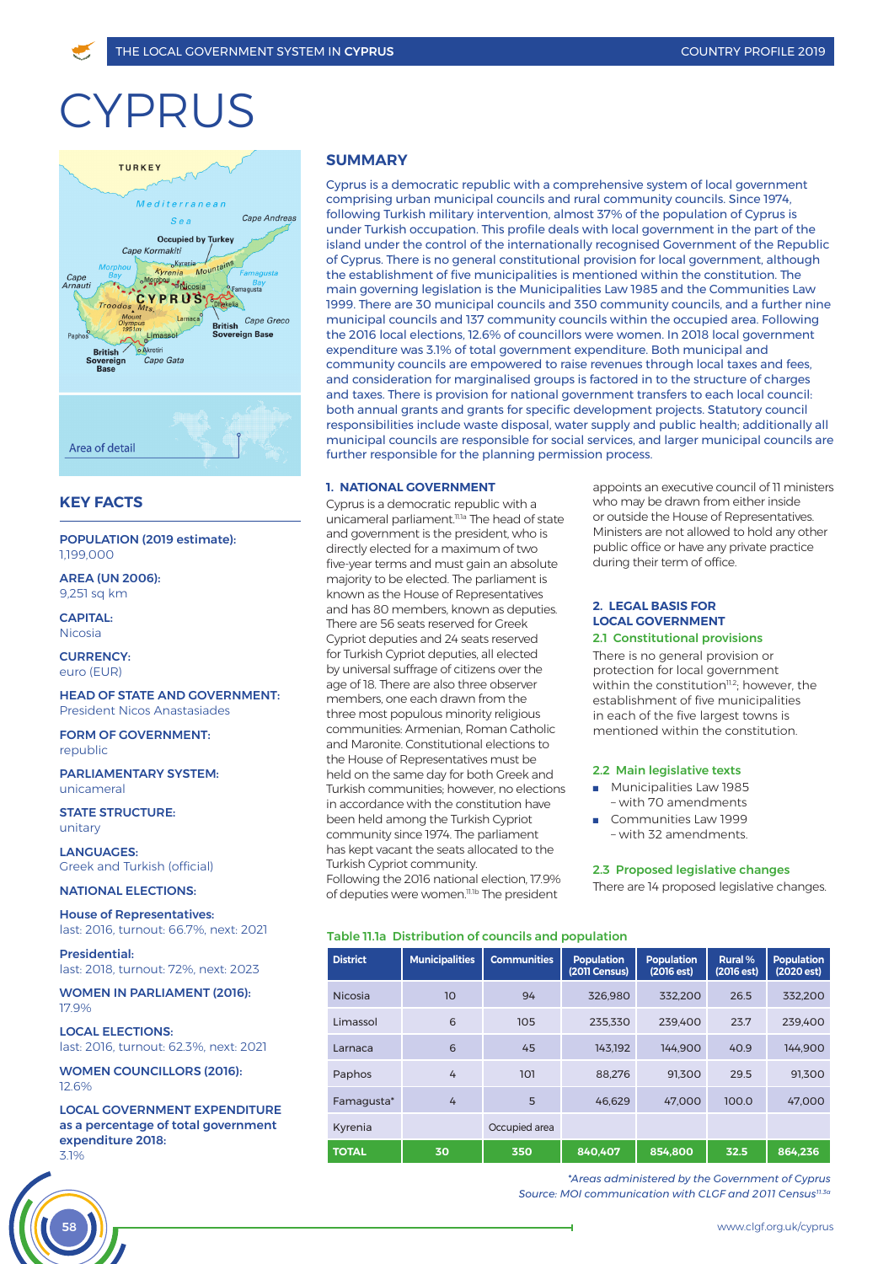# CYPRUS



# **KEY FACTS**

POPULATION (2019 estimate): 1,199,000

AREA (UN 2006): 9,251 sq km

CAPITAL: Nicosia

CURRENCYeuro (EUR)

HEAD OF STATE AND GOVERNMENT: President Nicos Anastasiades

FORM OF GOVERNMENT: republic

PARLIAMENTARY SYSTEM: unicameral

STATE STRUCTURE: unitary

LANGUAGES: Greek and Turkish (official)

NATIONAL ELECTIONS:

House of Representatives: last: 2016, turnout: 66.7%, next: 2021

Presidential: last: 2018, turnout: 72%, next: 2023

WOMEN IN PARLIAMENT (2016): 17.9%

LOCAL ELECTIONS: last: 2016, turnout: 62.3%, next: 2021

WOMEN COUNCILLORS (2016): 12.6%

LOCAL GOVERNMENT EXPENDITURE as a percentage of total government expenditure 2018: 3.1%



# **SUMMARY**

Cyprus is a democratic republic with a comprehensive system of local government comprising urban municipal councils and rural community councils. Since 1974, following Turkish military intervention, almost 37% of the population of Cyprus is under Turkish occupation. This profile deals with local government in the part of the island under the control of the internationally recognised Government of the Republic of Cyprus. There is no general constitutional provision for local government, although the establishment of five municipalities is mentioned within the constitution. The main governing legislation is the Municipalities Law 1985 and the Communities Law 1999. There are 30 municipal councils and 350 community councils, and a further nine municipal councils and 137 community councils within the occupied area. Following the 2016 local elections, 12.6% of councillors were women. In 2018 local government expenditure was 3.1% of total government expenditure. Both municipal and community councils are empowered to raise revenues through local taxes and fees, and consideration for marginalised groups is factored in to the structure of charges and taxes. There is provision for national government transfers to each local council: both annual grants and grants for specific development projects. Statutory council responsibilities include waste disposal, water supply and public health; additionally all municipal councils are responsible for social services, and larger municipal councils are further responsible for the planning permission process.

# **1. NATIONAL GOVERNMENT**

Cyprus is a democratic republic with a unicameral parliament.<sup>11.1a</sup> The head of state and government is the president, who is directly elected for a maximum of two five-year terms and must gain an absolute majority to be elected. The parliament is known as the House of Representatives and has 80 members, known as deputies. There are 56 seats reserved for Greek Cypriot deputies and 24 seats reserved for Turkish Cypriot deputies, all elected by universal suffrage of citizens over the age of 18. There are also three observer members, one each drawn from the three most populous minority religious communities: Armenian, Roman Catholic and Maronite. Constitutional elections to the House of Representatives must be held on the same day for both Greek and Turkish communities; however, no elections in accordance with the constitution have been held among the Turkish Cypriot community since 1974. The parliament has kept vacant the seats allocated to the Turkish Cypriot community. Following the 2016 national election, 17.9% of deputies were women.<sup>11.1b</sup> The president

Table 11.1a Distribution of councils and population

appoints an executive council of 11 ministers who may be drawn from either inside or outside the House of Representatives. Ministers are not allowed to hold any other public office or have any private practice during their term of office.

#### **2. LEGAL BASIS FOR LOCAL GOVERNMENT** 2.1 Constitutional provisions

There is no general provision or protection for local government within the constitution $11.2$ ; however, the establishment of five municipalities in each of the five largest towns is mentioned within the constitution.

#### 2.2 Main legislative texts

- **Nunicipalities Law 1985** – with 70 amendments
- <sup>n</sup> Communities Law 1999 – with 32 amendments.

#### 2.3 Proposed legislative changes

There are 14 proposed legislative changes.

| <b>District</b> | <b>Municipalities</b> | <b>Communities</b> | <b>Population</b><br>(2011 Census) | <b>Population</b><br>(2016est) | Rural %<br>(2016 est) | <b>Population</b><br>(2020 est) |
|-----------------|-----------------------|--------------------|------------------------------------|--------------------------------|-----------------------|---------------------------------|
| <b>Nicosia</b>  | 10                    | 94                 | 326.980                            | 332.200                        | 26.5                  | 332.200                         |
| Limassol        | 6                     | 105                | 235.330                            | 239.400                        | 23.7                  | 239.400                         |
| Larnaca         | 6                     | 45                 | 143.192                            | 144.900                        | 40.9                  | 144.900                         |
| Paphos          | 4                     | 101                | 88.276                             | 91.300                         | 29.5                  | 91.300                          |
| Famagusta*      | 4                     | 5                  | 46.629                             | 47.000                         | 100.0                 | 47,000                          |
| Kyrenia         |                       | Occupied area      |                                    |                                |                       |                                 |
| <b>TOTAL</b>    | 30                    | 350                | 840.407                            | 854.800                        | 32.5                  | 864.236                         |

*\*Areas administered by the Government of Cyprus Source: MOI communication with CLGF and 2011 Census11.3a*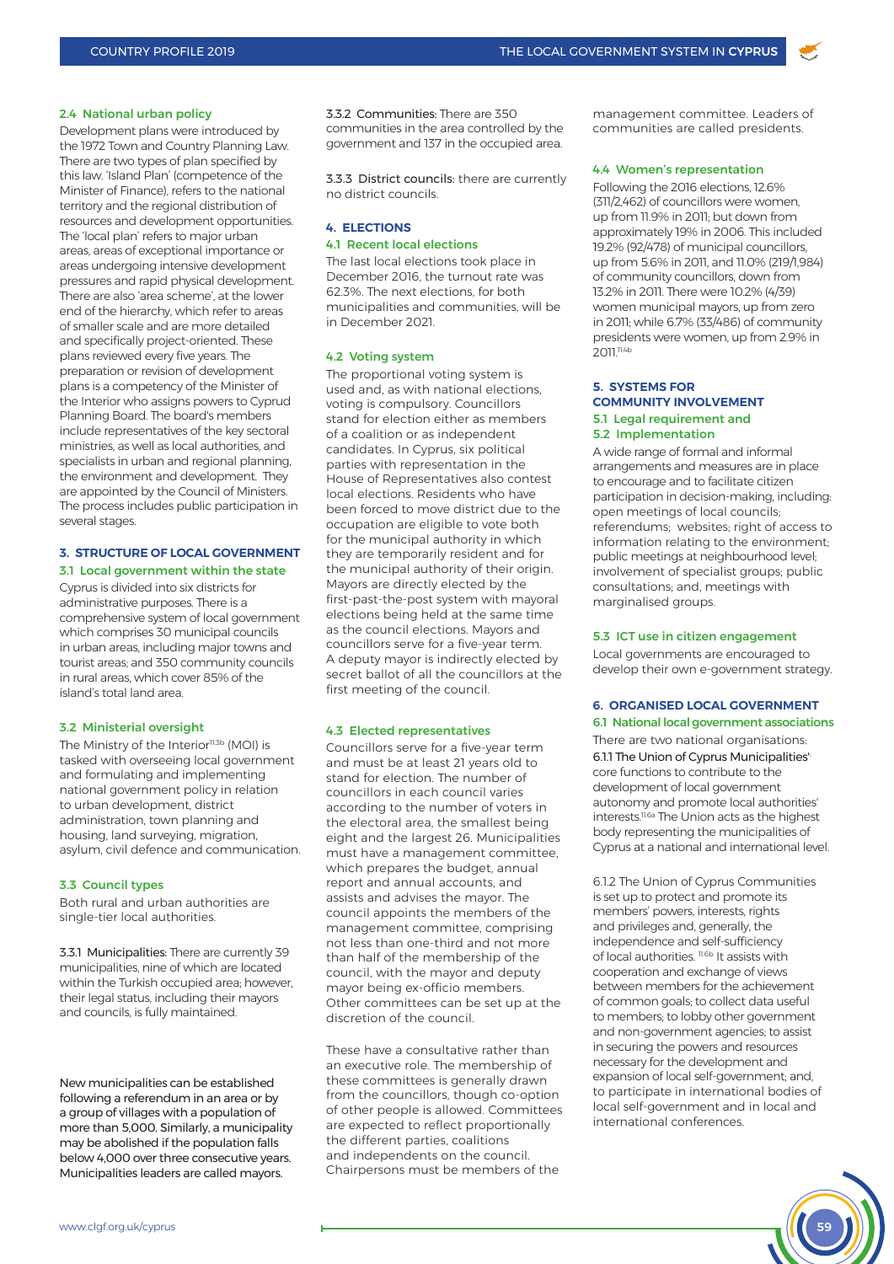#### 2.4 National urban policy

Development plans were introduced by the 1972 Town and Country Planning Law. There are two types of plan specified by this law. 'Island Plan' (competence of the Minister of Finance), refers to the national territory and the regional distribution of resources and development opportunities. The 'local plan' refers to major urban areas, areas of exceptional importance or areas undergoing intensive development pressures and rapid physical development. There are also 'area scheme', at the lower end of the hierarchy, which refer to areas of smaller scale and are more detailed and specifically project-oriented. These plans reviewed every five years. The preparation or revision of development plans is a competency of the Minister of the Interior who assigns powers to Cyprud Planning Board. The board's members include representatives of the key sectoral ministries, as well as local authorities, and specialists in urban and regional planning, the environment and development. They are appointed by the Council of Ministers. The process includes public participation in several stages.

# **3. STRUCTURE OF LOCAL GOVERNMENT**

3.1 Local government within the state Cyprus is divided into six districts for administrative purposes. There is a comprehensive system of local government which comprises 30 municipal councils in urban areas, including major towns and tourist areas; and 350 community councils in rural areas, which cover 85% of the island's total land area.

#### 3.2 Ministerial oversight

The Ministry of the Interior<sup>11.3b</sup> (MOI) is tasked with overseeing local government and formulating and implementing national government policy in relation to urban development, district administration, town planning and housing, land surveying, migration, asylum, civil defence and communication.

#### 3.3 Council types

Both rural and urban authorities are single-tier local authorities.

3.3.1 Municipalities: There are currently 39 municipalities, nine of which are located within the Turkish occupied area; however, their legal status, including their mayors and councils, is fully maintained.

New municipalities can be established following a referendum in an area or by a group of villages with a population of more than 5,000. Similarly, a municipality may be abolished if the population falls below 4,000 over three consecutive years. Municipalities leaders are called mayors.

3.3.2 Communities: There are 350 communities in the area controlled by the government and 137 in the occupied area.

3.3.3 District councils: there are currently no district councils.

#### **4. ELECTIONS** 4.1 Recent local elections

The last local elections took place in December 2016, the turnout rate was 62.3%. The next elections, for both

municipalities and communities, will be in December 2021.

#### 4.2 Voting system

The proportional voting system is used and, as with national elections, voting is compulsory. Councillors stand for election either as members of a coalition or as independent candidates. In Cyprus, six political parties with representation in the House of Representatives also contest local elections. Residents who have been forced to move district due to the occupation are eligible to vote both for the municipal authority in which they are temporarily resident and for the municipal authority of their origin. Mayors are directly elected by the first-past-the-post system with mayoral elections being held at the same time as the council elections. Mayors and councillors serve for a five-year term. A deputy mayor is indirectly elected by secret ballot of all the councillors at the first meeting of the council.

#### 4.3 Elected representatives

Councillors serve for a five-year term and must be at least 21 years old to stand for election. The number of councillors in each council varies according to the number of voters in the electoral area, the smallest being eight and the largest 26. Municipalities must have a management committee, which prepares the budget, annual report and annual accounts, and assists and advises the mayor. The council appoints the members of the management committee, comprising not less than one-third and not more than half of the membership of the council, with the mayor and deputy mayor being ex-officio members. Other committees can be set up at the discretion of the council.

These have a consultative rather than an executive role. The membership of these committees is generally drawn from the councillors, though co-option of other people is allowed. Committees are expected to reflect proportionally the different parties, coalitions and independents on the council. Chairpersons must be members of the

management committee. Leaders of communities are called presidents.

# 4.4 Women's representation

Following the 2016 elections, 12.6% (311/2,462) of councillors were women, up from 11.9% in 2011; but down from approximately 19% in 2006. This included 19.2% (92/478) of municipal councillors, up from 5.6% in 2011, and 11.0% (219/1,984) of community councillors, down from 13.2% in 2011. There were 10.2% (4/39) women municipal mayors, up from zero in 2011; while 6.7% (33/486) of community presidents were women, up from 2.9% in 2011.<sup>11.4b</sup>

# **5. SYSTEMS FOR COMMUNITY INVOLVEMENT** 5.1 Legal requirement and 5.2 Implementation

A wide range of formal and informal arrangements and measures are in place to encourage and to facilitate citizen participation in decision-making, including: open meetings of local councils; referendums; websites; right of access to information relating to the environment; public meetings at neighbourhood level; involvement of specialist groups; public consultations; and, meetings with marginalised groups.

#### 5.3 ICT use in citizen engagement

Local governments are encouraged to develop their own e-government strategy.

# **6. ORGANISED LOCAL GOVERNMENT**

6.1 National local government associations

There are two national organisations: 6.1.1 The Union of Cyprus Municipalities': core functions to contribute to the development of local government autonomy and promote local authorities' interests.11.6a The Union acts as the highest body representing the municipalities of Cyprus at a national and international level.

6.1.2 The Union of Cyprus Communities is set up to protect and promote its members' powers, interests, rights and privileges and, generally, the independence and self-sufficiency of local authorities. 11.6b It assists with cooperation and exchange of views between members for the achievement of common goals; to collect data useful to members; to lobby other government and non-government agencies; to assist in securing the powers and resources necessary for the development and expansion of local self-government; and, to participate in international bodies of local self-government and in local and international conferences.

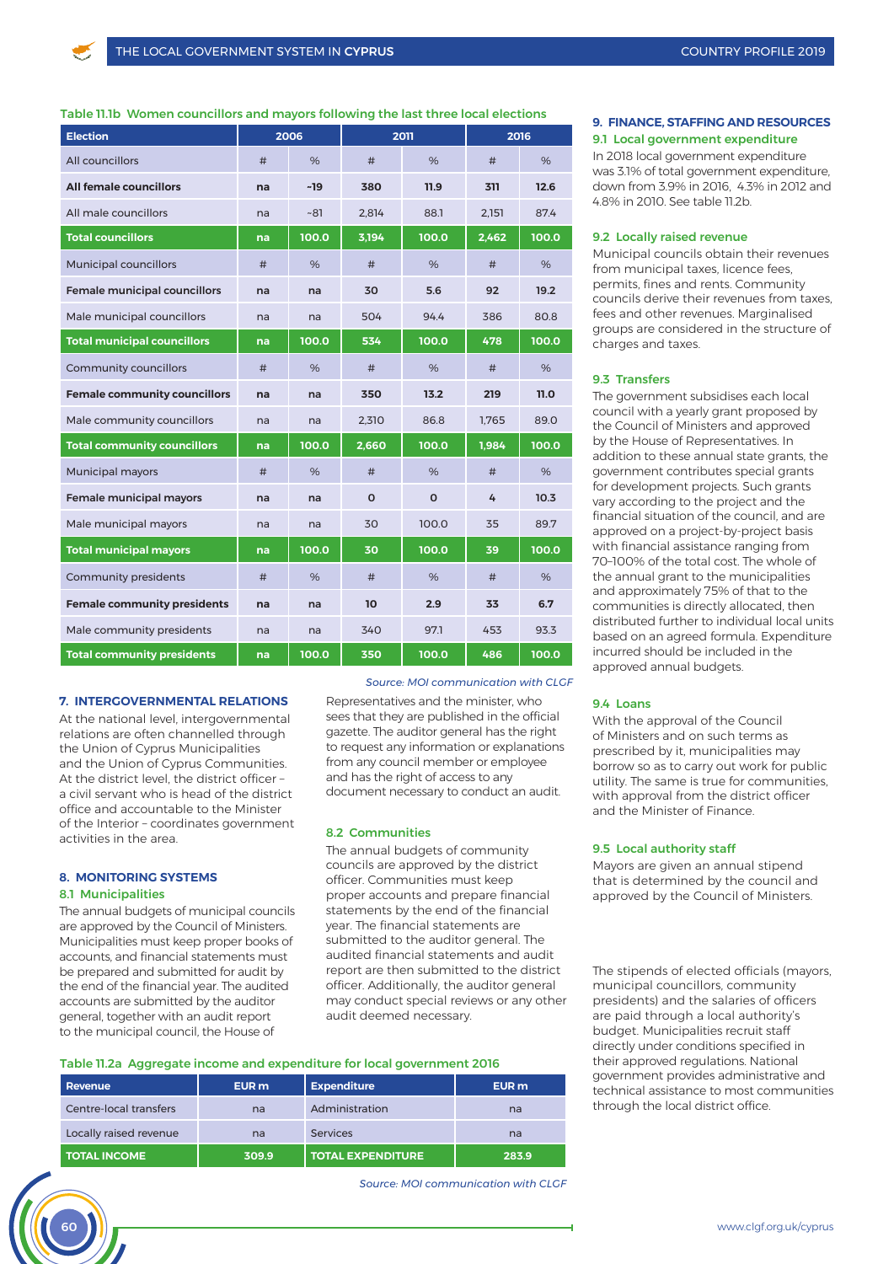# Table 11.1b Women councillors and mayors following the last three local elections

| <b>Election</b>                     | 2006 |       | 2011     |          | 2016  |       |
|-------------------------------------|------|-------|----------|----------|-------|-------|
| All councillors                     | #    | $\%$  | #        | $\%$     | #     | %     |
| <b>All female councillors</b>       | na   | $-19$ | 380      | 11.9     | 311   | 12.6  |
| All male councillors                | na   | ~81   | 2,814    | 88.1     | 2,151 | 87.4  |
| <b>Total councillors</b>            | na   | 100.0 | 3,194    | 100.0    | 2,462 | 100.0 |
| <b>Municipal councillors</b>        | #    | %     | #        | %        | #     | %     |
| <b>Female municipal councillors</b> | na   | na    | 30       | 5.6      | 92    | 19.2  |
| Male municipal councillors          | na   | na    | 504      | 94.4     | 386   | 80.8  |
| <b>Total municipal councillors</b>  | na   | 100.0 | 534      | 100.0    | 478   | 100.0 |
| Community councillors               | #    | %     | #        | %        | #     | %     |
| <b>Female community councillors</b> | na   | na    | 350      | 13.2     | 219   | 11.0  |
| Male community councillors          | na   | na    | 2,310    | 86.8     | 1,765 | 89.0  |
| <b>Total community councillors</b>  | na   | 100.0 | 2,660    | 100.0    | 1,984 | 100.0 |
| <b>Municipal mayors</b>             | #    | %     | #        | %        | #     | %     |
| Female municipal mayors             | na   | na    | $\Omega$ | $\Omega$ | 4     | 10.3  |
| Male municipal mayors               | na   | na    | 30       | 100.0    | 35    | 89.7  |
| <b>Total municipal mayors</b>       | na   | 100.0 | 30       | 100.0    | 39    | 100.0 |
| Community presidents                | #    | %     | #        | $\%$     | #     | $\%$  |
| <b>Female community presidents</b>  | na   | na    | 10       | 2.9      | 33    | 6.7   |
| Male community presidents           | na   | na    | 340      | 97.1     | 453   | 93.3  |
| <b>Total community presidents</b>   | na   | 100.0 | 350      | 100.0    | 486   | 100.0 |

# **7. INTERGOVERNMENTAL RELATIONS**

At the national level, intergovernmental relations are often channelled through the Union of Cyprus Municipalities and the Union of Cyprus Communities. At the district level, the district officer – a civil servant who is head of the district office and accountable to the Minister of the Interior – coordinates government activities in the area.

# **8. MONITORING SYSTEMS** 8.1 Municipalities

The annual budgets of municipal councils are approved by the Council of Ministers. Municipalities must keep proper books of accounts, and financial statements must be prepared and submitted for audit by the end of the financial year. The audited accounts are submitted by the auditor general, together with an audit report to the municipal council, the House of

*Source: MOI communication with CLGF* 

Representatives and the minister, who sees that they are published in the official gazette. The auditor general has the right to request any information or explanations from any council member or employee and has the right of access to any document necessary to conduct an audit.

#### 8.2 Communities

The annual budgets of community councils are approved by the district officer. Communities must keep proper accounts and prepare financial statements by the end of the financial year. The financial statements are submitted to the auditor general. The audited financial statements and audit report are then submitted to the district officer. Additionally, the auditor general may conduct special reviews or any other audit deemed necessary.

#### Table 11.2a Aggregate income and expenditure for local government 2016

| Revenue                | EUR <sub>m</sub> | <b>Expenditure</b>       | EUR <sub>m</sub> |  |
|------------------------|------------------|--------------------------|------------------|--|
| Centre-local transfers | na               | Administration           | na               |  |
| Locally raised revenue | na               | <b>Services</b>          | na               |  |
| <b>TOTAL INCOME</b>    | 309.9            | <b>TOTAL EXPENDITURE</b> | 283.9            |  |

*Source: MOI communication with CLGF*

# **9. FINANCE, STAFFING AND RESOURCES** 9.1 Local government expenditure

In 2018 local government expenditure was 3.1% of total government expenditure, down from 3.9% in 2016, 4.3% in 2012 and 4.8% in 2010. See table 11.2b.

#### 9.2 Locally raised revenue

Municipal councils obtain their revenues from municipal taxes, licence fees, permits, fines and rents. Community councils derive their revenues from taxes, fees and other revenues. Marginalised groups are considered in the structure of charges and taxes.

#### 9.3 Transfers

The government subsidises each local council with a yearly grant proposed by the Council of Ministers and approved by the House of Representatives. In addition to these annual state grants, the government contributes special grants for development projects. Such grants vary according to the project and the financial situation of the council, and are approved on a project-by-project basis with financial assistance ranging from 70–100% of the total cost. The whole of the annual grant to the municipalities and approximately 75% of that to the communities is directly allocated, then distributed further to individual local units based on an agreed formula. Expenditure incurred should be included in the approved annual budgets.

#### 9.4 Loans

With the approval of the Council of Ministers and on such terms as prescribed by it, municipalities may borrow so as to carry out work for public utility. The same is true for communities, with approval from the district officer and the Minister of Finance.

#### 9.5 Local authority staff

Mayors are given an annual stipend that is determined by the council and approved by the Council of Ministers.

The stipends of elected officials (mayors, municipal councillors, community presidents) and the salaries of officers are paid through a local authority's budget. Municipalities recruit staff directly under conditions specified in their approved regulations. National government provides administrative and technical assistance to most communities through the local district office.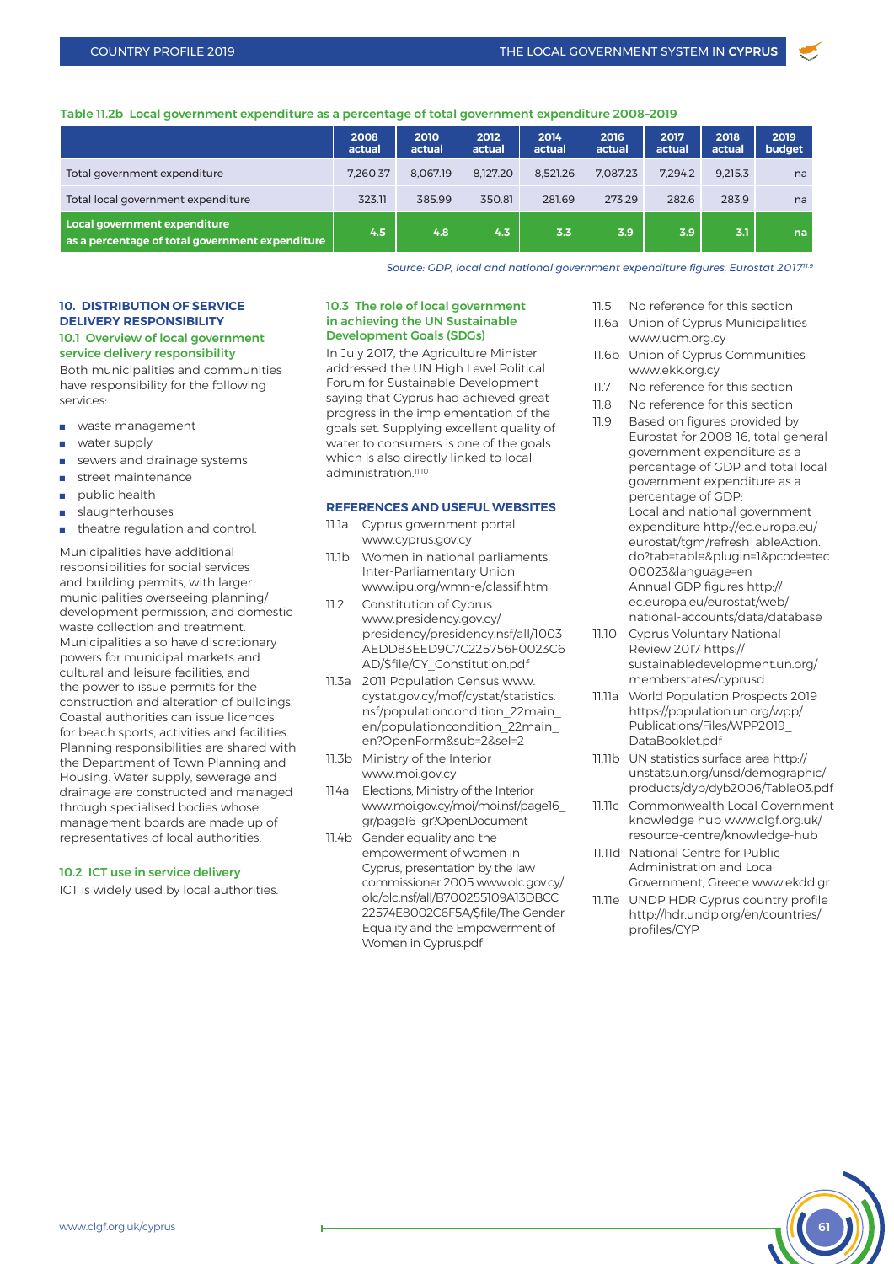# Table 11.2b Local government expenditure as a percentage of total government expenditure 2008–2019

|                                                                                 | 2008<br>actual | 2010<br>actual | 2012<br>actual | 2014<br>actual | 2016<br>actual | 2017<br>actual | 2018<br>actual | 2019<br>budget |
|---------------------------------------------------------------------------------|----------------|----------------|----------------|----------------|----------------|----------------|----------------|----------------|
| Total government expenditure                                                    | 7.260.37       | 8.067.19       | 8.127.20       | 8.521.26       | 7.087.23       | 7.294.2        | 9.215.3        | na             |
| Total local government expenditure                                              | 323.11         | 385.99         | 350.81         | 281.69         | 273.29         | 282.6          | 283.9          | na             |
| Local government expenditure<br>as a percentage of total government expenditure | 4.5            | 4.8            | 4.3            | 3.3            | 3.9            | 3.9            | 3.1            | na             |

*Source: GDP, local and national government expenditure figures, Eurostat 201711.9*

# **10. DISTRIBUTION OF SERVICE DELIVERY RESPONSIBILITY**

# 10.1 Overview of local government service delivery responsibility

Both municipalities and communities have responsibility for the following services:

- **n** waste management
- n water supply
- sewers and drainage systems
- street maintenance
- $\blacksquare$  public health
- slaughterhouses
- theatre regulation and control.

Municipalities have additional responsibilities for social services and building permits, with larger municipalities overseeing planning/ development permission, and domestic waste collection and treatment. Municipalities also have discretionary powers for municipal markets and cultural and leisure facilities, and the power to issue permits for the construction and alteration of buildings. Coastal authorities can issue licences for beach sports, activities and facilities. Planning responsibilities are shared with the Department of Town Planning and Housing. Water supply, sewerage and drainage are constructed and managed through specialised bodies whose management boards are made up of representatives of local authorities.

#### 10.2 ICT use in service delivery

ICT is widely used by local authorities.

#### 10.3 The role of local government in achieving the UN Sustainable Development Goals (SDGs)

In July 2017, the Agriculture Minister addressed the UN High Level Political Forum for Sustainable Development saying that Cyprus had achieved great progress in the implementation of the goals set. Supplying excellent quality of water to consumers is one of the goals which is also directly linked to local administration<sup>11.10</sup>

#### **REFERENCES AND USEFUL WEBSITES**

- 11.1a Cyprus government portal www.cyprus.gov.cy
- 11.1b Women in national parliaments. Inter-Parliamentary Union www.ipu.org/wmn-e/classif.htm
- 11.2 Constitution of Cyprus www.presidency.gov.cy/ presidency/presidency.nsf/all/1003 AEDD83EED9C7C225756F0023C6 AD/\$file/CY\_Constitution.pdf
- 11.3a 2011 Population Census www. cystat.gov.cy/mof/cystat/statistics. nsf/populationcondition\_22main\_ en/populationcondition\_22main\_ en?OpenForm&sub=2&sel=2
- 11.3b Ministry of the Interior www.moi.gov.cy
- 11.4a Elections, Ministry of the Interior www.moi.gov.cy/moi/moi.nsf/page16\_ gr/page16\_gr?OpenDocument
- 11.4b Gender equality and the empowerment of women in Cyprus, presentation by the law commissioner 2005 www.olc.gov.cy/ olc/olc.nsf/all/B700255109A13DBCC 22574E8002C6F5A/\$file/The Gender Equality and the Empowerment of Women in Cyprus.pdf
- 11.5 No reference for this section
- 11.6a Union of Cyprus Municipalities www.ucm.org.cy
- 11.6b Union of Cyprus Communities www.ekk.org.cy
- 11.7 No reference for this section
- 11.8 No reference for this section
- 11.9 Based on figures provided by Eurostat for 2008-16, total general government expenditure as a percentage of GDP and total local government expenditure as a percentage of GDP: Local and national government expenditure http://ec.europa.eu/ eurostat/tgm/refreshTableAction. do?tab=table&plugin=1&pcode=tec 00023&language=en Annual GDP figures http:// ec.europa.eu/eurostat/web/ national-accounts/data/database
- 11.10 Cyprus Voluntary National Review 2017 https:// sustainabledevelopment.un.org/ memberstates/cyprusd
- 11.11a World Population Prospects 2019 https://population.un.org/wpp/ Publications/Files/WPP2019\_ DataBooklet.pdf
- 11.11b UN statistics surface area http:// unstats.un.org/unsd/demographic/ products/dyb/dyb2006/Table03.pdf
- 11.11c Commonwealth Local Government knowledge hub www.clgf.org.uk/ resource-centre/knowledge-hub
- 11.11d National Centre for Public Administration and Local Government, Greece www.ekdd.gr
- 11.11e UNDP HDR Cyprus country profile http://hdr.undp.org/en/countries/ profiles/CYP